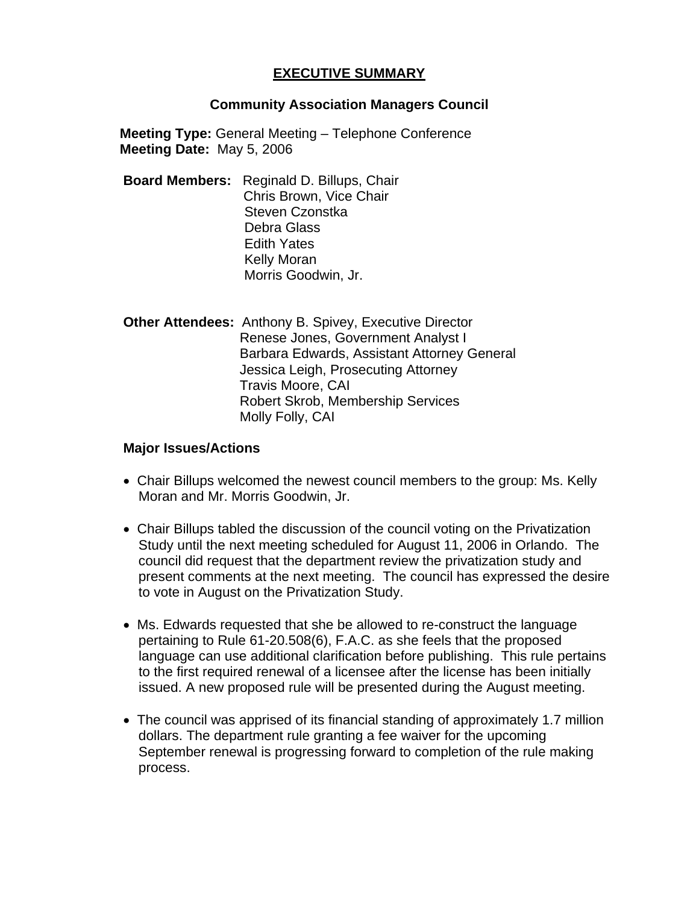## **EXECUTIVE SUMMARY**

## **Community Association Managers Council**

**Meeting Type:** General Meeting – Telephone Conference **Meeting Date:** May 5, 2006

- **Board Members:** Reginald D. Billups, Chair Chris Brown, Vice Chair Steven Czonstka Debra Glass Edith Yates Kelly Moran Morris Goodwin, Jr.
- **Other Attendees:** Anthony B. Spivey, Executive Director Renese Jones, Government Analyst I Barbara Edwards, Assistant Attorney General Jessica Leigh, Prosecuting Attorney Travis Moore, CAI Robert Skrob, Membership Services Molly Folly, CAI

## **Major Issues/Actions**

- Chair Billups welcomed the newest council members to the group: Ms. Kelly Moran and Mr. Morris Goodwin, Jr.
- Chair Billups tabled the discussion of the council voting on the Privatization Study until the next meeting scheduled for August 11, 2006 in Orlando. The council did request that the department review the privatization study and present comments at the next meeting. The council has expressed the desire to vote in August on the Privatization Study.
- Ms. Edwards requested that she be allowed to re-construct the language pertaining to Rule 61-20.508(6), F.A.C. as she feels that the proposed language can use additional clarification before publishing. This rule pertains to the first required renewal of a licensee after the license has been initially issued. A new proposed rule will be presented during the August meeting.
- The council was apprised of its financial standing of approximately 1.7 million dollars. The department rule granting a fee waiver for the upcoming September renewal is progressing forward to completion of the rule making process.